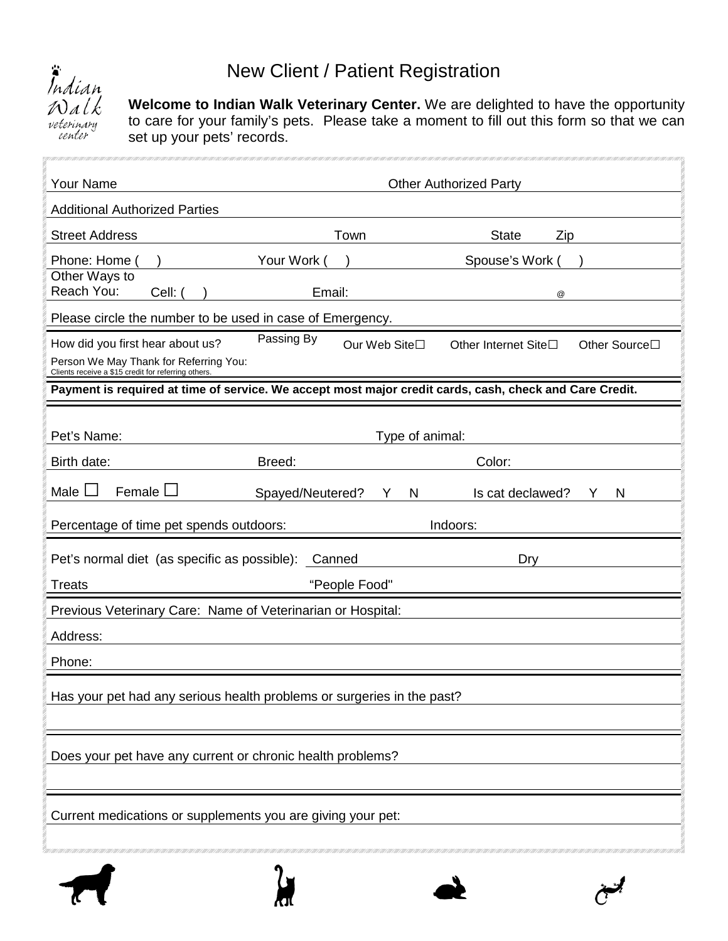## New Client / Patient Registration



**Welcome to Indian Walk Veterinary Center.** We are delighted to have the opportunity to care for your family's pets. Please take a moment to fill out this form so that we can set up your pets' records.

| <b>Your Name</b>                                                                                                                 |                             | <b>Other Authorized Party</b>                                                                           |
|----------------------------------------------------------------------------------------------------------------------------------|-----------------------------|---------------------------------------------------------------------------------------------------------|
| <b>Additional Authorized Parties</b>                                                                                             |                             |                                                                                                         |
| <b>Street Address</b>                                                                                                            | Town                        | <b>State</b><br>Zip                                                                                     |
| Phone: Home                                                                                                                      | Your Work (                 | Spouse's Work                                                                                           |
| Other Ways to<br>Reach You:<br>Cell: (                                                                                           | Email:                      | $^{\copyright}$                                                                                         |
| Please circle the number to be used in case of Emergency.                                                                        |                             |                                                                                                         |
| How did you first hear about us?<br>Person We May Thank for Referring You:<br>Clients receive a \$15 credit for referring others | Passing By<br>Our Web Site□ | Other Source□<br>Other Internet Site□                                                                   |
|                                                                                                                                  |                             | Payment is required at time of service. We accept most major credit cards, cash, check and Care Credit. |
| Pet's Name:                                                                                                                      | Type of animal:             |                                                                                                         |
| Birth date:                                                                                                                      | Breed:                      | Color:                                                                                                  |
| Female<br>Male                                                                                                                   | Spayed/Neutered?<br>N<br>Y  | Is cat declawed?<br>N<br>Y                                                                              |
| Percentage of time pet spends outdoors:                                                                                          |                             | Indoors:                                                                                                |
| Pet's normal diet (as specific as possible):                                                                                     | Canned                      | Dry                                                                                                     |
| <b>Treats</b>                                                                                                                    | "People Food"               |                                                                                                         |
| Previous Veterinary Care: Name of Veterinarian or Hospital:                                                                      |                             |                                                                                                         |
| Address:                                                                                                                         |                             |                                                                                                         |
| Phone:                                                                                                                           |                             |                                                                                                         |
| Has your pet had any serious health problems or surgeries in the past?                                                           |                             |                                                                                                         |
| Does your pet have any current or chronic health problems?                                                                       |                             |                                                                                                         |
| Current medications or supplements you are giving your pet:                                                                      |                             |                                                                                                         |